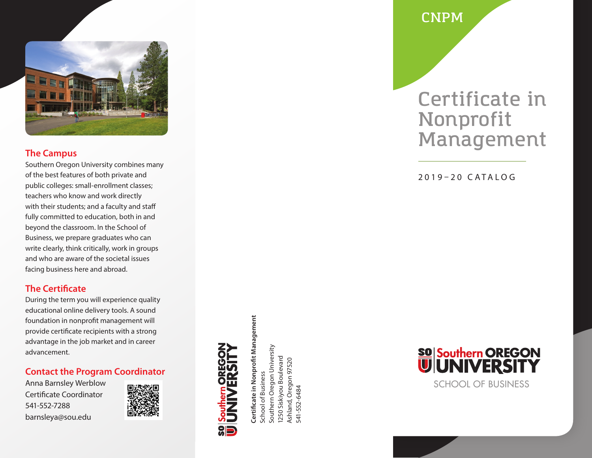

### **The Campus**

Southern Oregon University combines many of the best features of both private and public colleges: small-enrollment classes; teachers who know and work directly with their students; and a faculty and staff fully committed to education, both in and beyond the classroom. In the School of Business, we prepare graduates who can write clearly, think critically, work in groups and who are aware of the societal issues facing business here and abroad.

## **The Certificate**

During the term you will experience quality educational online delivery tools. A sound foundation in nonprofit management will provide certificate recipients with a strong advantage in the job market and in career advancement.

## **Contact the Program Coordinator**

Anna Barnsley Werblow Certificate Coordinator 541-552-7288 barnsleya@sou.edu



Certificate in Nonprofit Management **Certificate in Nonprofit Management** School of Business School of Business

Southern Oregon University Southern Oregon University 1250 Siskiyou Boulevard 1250 Siskiyou Boulevard Ashland, Oregon 97520 Ashland, Oregon 97520<br>541-552-6484 541-552-6484

**CNPM**

## **Certificate in Nonprofit Management**

2019–20 CATALOG